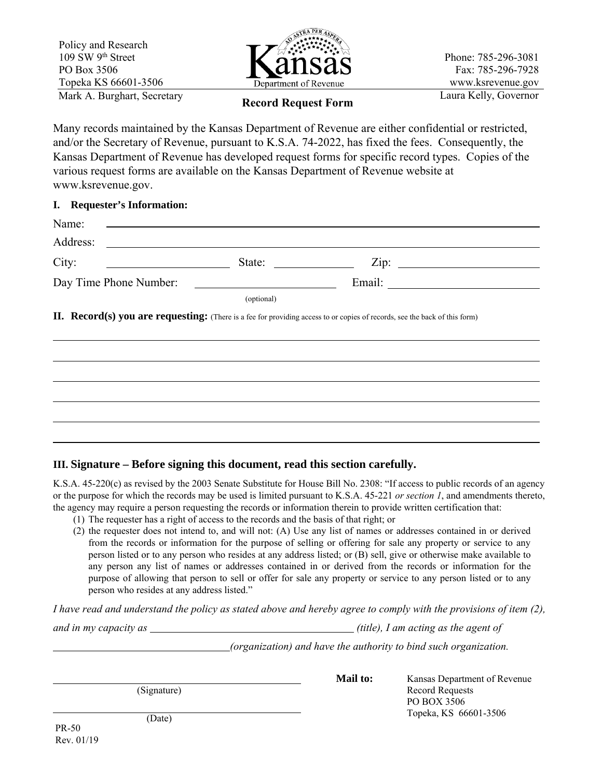

Phone: 785-296-3081 Fax: 785-296-7928 www.ksrevenue.gov

# Laura Kelly, Governor **Record Request Form**

Many records maintained by the Kansas Department of Revenue are either confidential or restricted, and/or the Secretary of Revenue, pursuant to K.S.A. 74-2022, has fixed the fees. Consequently, the Kansas Department of Revenue has developed request forms for specific record types. Copies of the various request forms are available on the Kansas Department of Revenue website at www.ksrevenue.gov.

## **I. Requester's Information:**

| Name:                                            |                                                                                                                                                                                                                                      |  |
|--------------------------------------------------|--------------------------------------------------------------------------------------------------------------------------------------------------------------------------------------------------------------------------------------|--|
| Address:                                         | <u> 1989 - Johann Stein, mars an deutscher Stein († 1958)</u>                                                                                                                                                                        |  |
| City:<br><u> 1999 - Johann Barbara, martin a</u> | State:                                                                                                                                                                                                                               |  |
| Day Time Phone Number:                           | <u>and the community of the community of the community of the community of the community of the community of the community of the community of the community of the community of the community of the community of the community</u> |  |
|                                                  | (optional)                                                                                                                                                                                                                           |  |
|                                                  |                                                                                                                                                                                                                                      |  |
|                                                  |                                                                                                                                                                                                                                      |  |
|                                                  |                                                                                                                                                                                                                                      |  |
|                                                  |                                                                                                                                                                                                                                      |  |

## **III. Signature – Before signing this document, read this section carefully.**

K.S.A. 45-220(c) as revised by the 2003 Senate Substitute for House Bill No. 2308: "If access to public records of an agency or the purpose for which the records may be used is limited pursuant to K.S.A. 45-221 *or section 1*, and amendments thereto, the agency may require a person requesting the records or information therein to provide written certification that:

- (1) The requester has a right of access to the records and the basis of that right; or
- (2) the requester does not intend to, and will not: (A) Use any list of names or addresses contained in or derived from the records or information for the purpose of selling or offering for sale any property or service to any person listed or to any person who resides at any address listed; or (B) sell, give or otherwise make available to any person any list of names or addresses contained in or derived from the records or information for the purpose of allowing that person to sell or offer for sale any property or service to any person listed or to any person who resides at any address listed."

*I have read and understand the policy as stated above and hereby agree to comply with the provisions of item (2), and in my capacity as*  $(title)$ , I am acting as the agent of

*(organization) and have the authority to bind such organization.* 

(Signature)

**Mail to: Kansas Department of Revenue** Record Requests PO BOX 3506 Topeka, KS 66601-3506

PR-50 Rev. 01/19